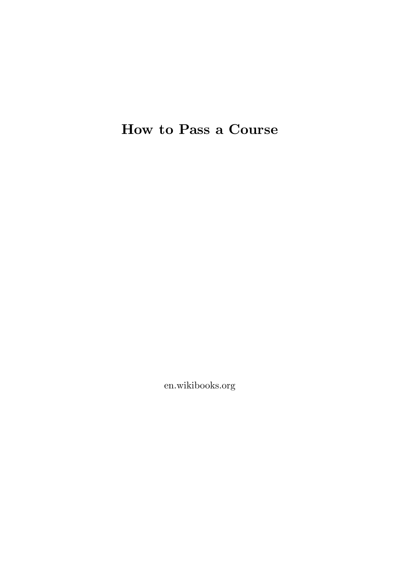# **How to Pass a Course**

en.wikibooks.org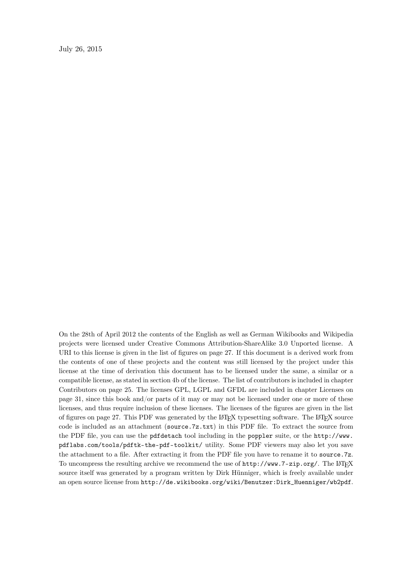July 26, 2015

On the 28th of April 2012 the contents of the English as well as German Wikibooks and Wikipedia projects were licensed under Creative Commons Attribution-ShareAlike 3.0 Unported license. A URI to this license is given in the list of figures on page [27.](#page-29-0) If this document is a derived work from the contents of one of these projects and the content was still licensed by the project under this license at the time of derivation this document has to be licensed under the same, a similar or a compatible license, as stated in section 4b of the license. The list of contributors is included in chapter Contributors on page [25.](#page-27-0) The licenses GPL, LGPL and GFDL are included in chapter Licenses on page [31,](#page-33-0) since this book and/or parts of it may or may not be licensed under one or more of these licenses, and thus require inclusion of these licenses. The licenses of the figures are given in the list of figures on page [27](#page-29-0). This PDF was generated by the LAT<sub>E</sub>X typesetting software. The LAT<sub>E</sub>X source code is included as an attachment (source.7z.txt) in this PDF file. To extract the source from the PDF file, you can use the pdfdetach tool including in the poppler suite, or the [http://www.](http://www.pdflabs.com/tools/pdftk-the-pdf-toolkit/) [pdflabs.com/tools/pdftk-the-pdf-toolkit/](http://www.pdflabs.com/tools/pdftk-the-pdf-toolkit/) utility. Some PDF viewers may also let you save the attachment to a file. After extracting it from the PDF file you have to rename it to source.7z. To uncompress the resulting archive we recommend the use of  $http://www.7-zip.org/$ . The LATEX source itself was generated by a program written by Dirk Hünniger, which is freely available under an open source license from [http://de.wikibooks.org/wiki/Benutzer:Dirk\\_Huenniger/wb2pdf](http://de.wikibooks.org/wiki/Benutzer:Dirk_Huenniger/wb2pdf).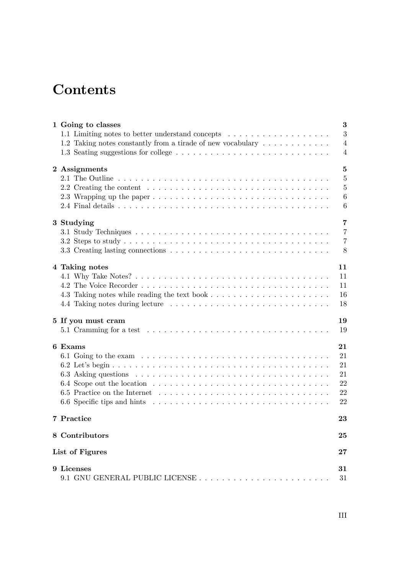# **Contents**

| 1 Going to classes                                                                                      | 3              |
|---------------------------------------------------------------------------------------------------------|----------------|
|                                                                                                         | 3              |
| 1.2 Taking notes constantly from a tirade of new vocabulary                                             | $\overline{4}$ |
|                                                                                                         | $\overline{4}$ |
| 2 Assignments                                                                                           | $\overline{5}$ |
|                                                                                                         | $\overline{5}$ |
| 2.2 Creating the content $\ldots \ldots \ldots \ldots \ldots \ldots \ldots \ldots \ldots \ldots \ldots$ | $\overline{5}$ |
|                                                                                                         | 6              |
|                                                                                                         | 6              |
| 3 Studying                                                                                              | $\overline{7}$ |
|                                                                                                         | $\overline{7}$ |
|                                                                                                         | $\overline{7}$ |
|                                                                                                         | 8              |
| 4 Taking notes                                                                                          | 11             |
|                                                                                                         | 11             |
|                                                                                                         | 11             |
|                                                                                                         | 16             |
|                                                                                                         | 18             |
| 5 If you must cram                                                                                      | 19             |
| 5.1 Cramming for a test $\ldots \ldots \ldots \ldots \ldots \ldots \ldots \ldots \ldots \ldots \ldots$  | 19             |
| 6 Exams                                                                                                 | 21             |
|                                                                                                         | 21             |
|                                                                                                         | 21             |
|                                                                                                         | 21             |
|                                                                                                         | 22             |
|                                                                                                         | 22             |
|                                                                                                         | 22             |
| 7 Practice                                                                                              | 23             |
| 8 Contributors                                                                                          | 25             |
| List of Figures                                                                                         | 27             |
| 9 Licenses                                                                                              | 31             |
| 9.1 GNU GENERAL PUBLIC LICENSE                                                                          | 31             |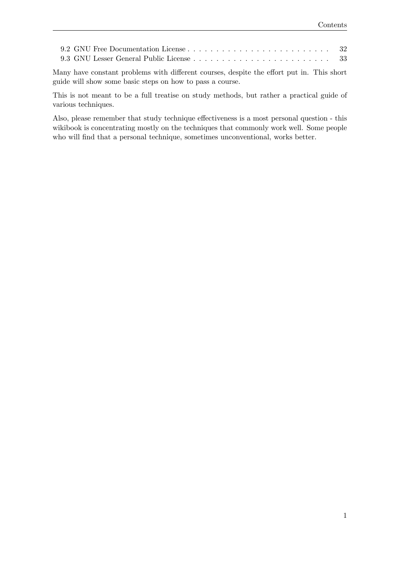Many have constant problems with different courses, despite the effort put in. This short guide will show some basic steps on how to pass a course.

This is not meant to be a full treatise on study methods, but rather a practical guide of various techniques.

Also, please remember that study technique effectiveness is a most personal question - this wikibook is concentrating mostly on the techniques that commonly work well. Some people who will find that a personal technique, sometimes unconventional, works better.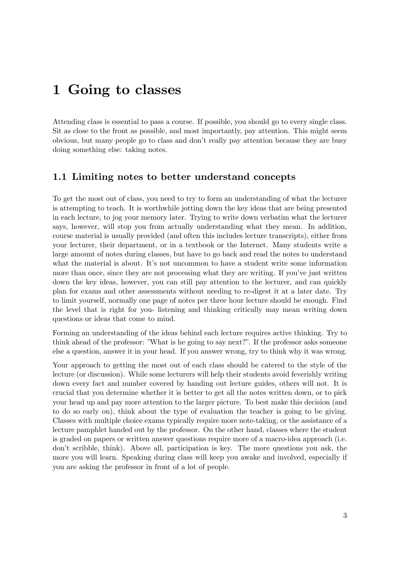# <span id="page-5-0"></span>**1 Going to classes**

Attending class is essential to pass a course. If possible, you should go to every single class. Sit as close to the front as possible, and most importantly, pay attention. This might seem obvious, but many people go to class and don't really pay attention because they are busy doing something else: taking notes.

# <span id="page-5-1"></span>**1.1 Limiting notes to better understand concepts**

To get the most out of class, you need to try to form an understanding of what the lecturer is attempting to teach. It is worthwhile jotting down the key ideas that are being presented in each lecture, to jog your memory later. Trying to write down verbatim what the lecturer says, however, will stop you from actually understanding what they mean. In addition, course material is usually provided (and often this includes lecture transcripts), either from your lecturer, their department, or in a textbook or the Internet. Many students write a large amount of notes during classes, but have to go back and read the notes to understand what the material is about. It's not uncommon to have a student write some information more than once, since they are not processing what they are writing. If you've just written down the key ideas, however, you can still pay attention to the lecturer, and can quickly plan for exams and other assessments without needing to re-digest it at a later date. Try to limit yourself, normally one page of notes per three hour lecture should be enough. Find the level that is right for you- listening and thinking critically may mean writing down questions or ideas that come to mind.

Forming an understanding of the ideas behind each lecture requires active thinking. Try to think ahead of the professor: "What is he going to say next?". If the professor asks someone else a question, answer it in your head. If you answer wrong, try to think why it was wrong.

Your approach to getting the most out of each class should be catered to the style of the lecture (or discussion). While some lecturers will help their students avoid feverishly writing down every fact and number covered by handing out lecture guides, others will not. It is crucial that you determine whether it is better to get all the notes written down, or to pick your head up and pay more attention to the larger picture. To best make this decision (and to do so early on), think about the type of evaluation the teacher is going to be giving. Classes with multiple choice exams typically require more note-taking, or the assistance of a lecture pamphlet handed out by the professor. On the other hand, classes where the student is graded on papers or written answer questions require more of a macro-idea approach (i.e. don't scribble, think). Above all, participation is key. The more questions you ask, the more you will learn. Speaking during class will keep you awake and involved, especially if you are asking the professor in front of a lot of people.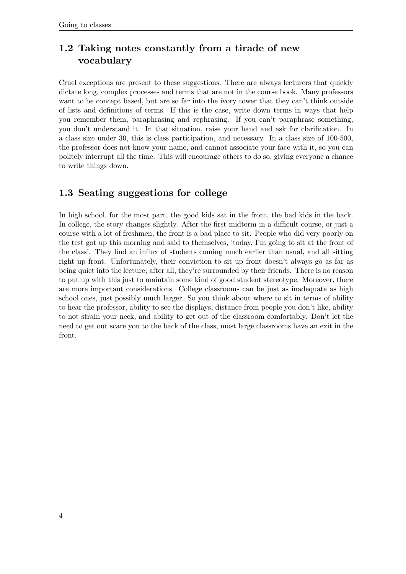# <span id="page-6-0"></span>**1.2 Taking notes constantly from a tirade of new vocabulary**

Cruel exceptions are present to these suggestions. There are always lecturers that quickly dictate long, complex processes and terms that are not in the course book. Many professors want to be concept based, but are so far into the ivory tower that they can't think outside of lists and definitions of terms. If this is the case, write down terms in ways that help you remember them, paraphrasing and rephrasing. If you can't paraphrase something, you don't understand it. In that situation, raise your hand and ask for clarification. In a class size under 30, this is class participation, and necessary. In a class size of 100-500, the professor does not know your name, and cannot associate your face with it, so you can politely interrupt all the time. This will encourage others to do so, giving everyone a chance to write things down.

# <span id="page-6-1"></span>**1.3 Seating suggestions for college**

In high school, for the most part, the good kids sat in the front, the bad kids in the back. In college, the story changes slightly. After the first midterm in a difficult course, or just a course with a lot of freshmen, the front is a bad place to sit. People who did very poorly on the test got up this morning and said to themselves, 'today, I'm going to sit at the front of the class'. They find an influx of students coming much earlier than usual, and all sitting right up front. Unfortunately, their conviction to sit up front doesn't always go as far as being quiet into the lecture; after all, they're surrounded by their friends. There is no reason to put up with this just to maintain some kind of good student stereotype. Moreover, there are more important considerations. College classrooms can be just as inadequate as high school ones, just possibly much larger. So you think about where to sit in terms of ability to hear the professor, ability to see the displays, distance from people you don't like, ability to not strain your neck, and ability to get out of the classroom comfortably. Don't let the need to get out scare you to the back of the class, most large classrooms have an exit in the front.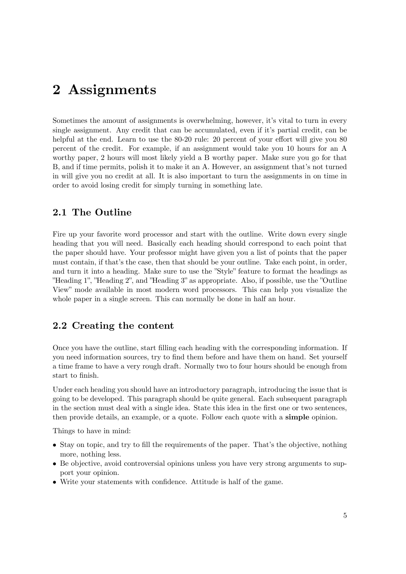# <span id="page-7-0"></span>**2 Assignments**

Sometimes the amount of assignments is overwhelming, however, it's vital to turn in every single assignment. Any credit that can be accumulated, even if it's partial credit, can be helpful at the end. Learn to use the 80-20 rule: 20 percent of your effort will give you 80 percent of the credit. For example, if an assignment would take you 10 hours for an A worthy paper, 2 hours will most likely yield a B worthy paper. Make sure you go for that B, and if time permits, polish it to make it an A. However, an assignment that's not turned in will give you no credit at all. It is also important to turn the assignments in on time in order to avoid losing credit for simply turning in something late.

# <span id="page-7-1"></span>**2.1 The Outline**

Fire up your favorite word processor and start with the outline. Write down every single heading that you will need. Basically each heading should correspond to each point that the paper should have. Your professor might have given you a list of points that the paper must contain, if that's the case, then that should be your outline. Take each point, in order, and turn it into a heading. Make sure to use the "Style" feature to format the headings as "Heading 1", "Heading 2", and "Heading 3" as appropriate. Also, if possible, use the "Outline View" mode available in most modern word processors. This can help you visualize the whole paper in a single screen. This can normally be done in half an hour.

# <span id="page-7-2"></span>**2.2 Creating the content**

Once you have the outline, start filling each heading with the corresponding information. If you need information sources, try to find them before and have them on hand. Set yourself a time frame to have a very rough draft. Normally two to four hours should be enough from start to finish.

Under each heading you should have an introductory paragraph, introducing the issue that is going to be developed. This paragraph should be quite general. Each subsequent paragraph in the section must deal with a single idea. State this idea in the first one or two sentences, then provide details, an example, or a quote. Follow each quote with a **simple** opinion.

Things to have in mind:

- Stay on topic, and try to fill the requirements of the paper. That's the objective, nothing more, nothing less.
- Be objective, avoid controversial opinions unless you have very strong arguments to support your opinion.
- Write your statements with confidence. Attitude is half of the game.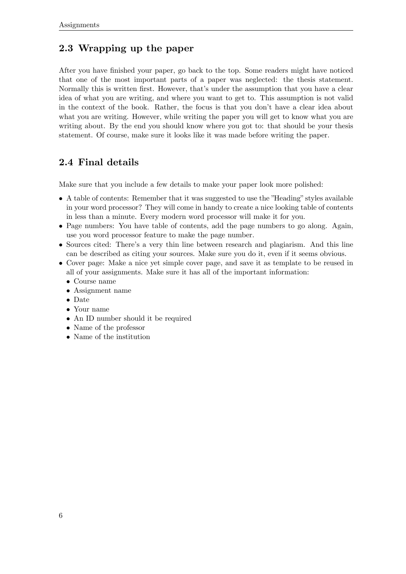# <span id="page-8-0"></span>**2.3 Wrapping up the paper**

After you have finished your paper, go back to the top. Some readers might have noticed that one of the most important parts of a paper was neglected: the thesis statement. Normally this is written first. However, that's under the assumption that you have a clear idea of what you are writing, and where you want to get to. This assumption is not valid in the context of the book. Rather, the focus is that you don't have a clear idea about what you are writing. However, while writing the paper you will get to know what you are writing about. By the end you should know where you got to: that should be your thesis statement. Of course, make sure it looks like it was made before writing the paper.

# <span id="page-8-1"></span>**2.4 Final details**

Make sure that you include a few details to make your paper look more polished:

- A table of contents: Remember that it was suggested to use the "Heading" styles available in your word processor? They will come in handy to create a nice looking table of contents in less than a minute. Every modern word processor will make it for you.
- Page numbers: You have table of contents, add the page numbers to go along. Again, use you word processor feature to make the page number.
- Sources cited: There's a very thin line between research and plagiarism. And this line can be described as citing your sources. Make sure you do it, even if it seems obvious.
- Cover page: Make a nice yet simple cover page, and save it as template to be reused in all of your assignments. Make sure it has all of the important information:
	- Course name
	- Assignment name
	- Date
	- Your name
	- An ID number should it be required
	- Name of the professor
	- Name of the institution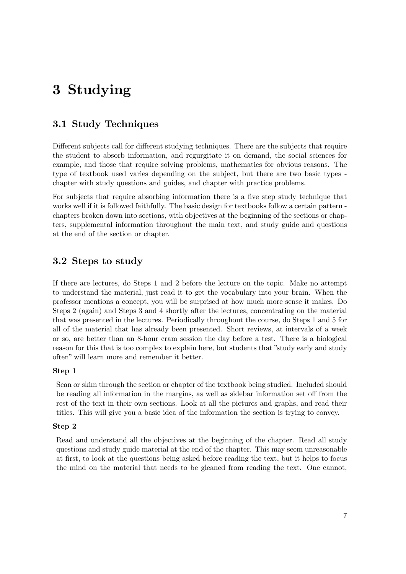# <span id="page-9-0"></span>**3 Studying**

# <span id="page-9-1"></span>**3.1 Study Techniques**

Different subjects call for different studying techniques. There are the subjects that require the student to absorb information, and regurgitate it on demand, the social sciences for example, and those that require solving problems, mathematics for obvious reasons. The type of textbook used varies depending on the subject, but there are two basic types chapter with study questions and guides, and chapter with practice problems.

For subjects that require absorbing information there is a five step study technique that works well if it is followed faithfully. The basic design for textbooks follow a certain pattern chapters broken down into sections, with objectives at the beginning of the sections or chapters, supplemental information throughout the main text, and study guide and questions at the end of the section or chapter.

# <span id="page-9-2"></span>**3.2 Steps to study**

If there are lectures, do Steps 1 and 2 before the lecture on the topic. Make no attempt to understand the material, just read it to get the vocabulary into your brain. When the professor mentions a concept, you will be surprised at how much more sense it makes. Do Steps 2 (again) and Steps 3 and 4 shortly after the lectures, concentrating on the material that was presented in the lectures. Periodically throughout the course, do Steps 1 and 5 for all of the material that has already been presented. Short reviews, at intervals of a week or so, are better than an 8-hour cram session the day before a test. There is a biological reason for this that is too complex to explain here, but students that "study early and study often" will learn more and remember it better.

#### **Step 1**

Scan or skim through the section or chapter of the textbook being studied. Included should be reading all information in the margins, as well as sidebar information set off from the rest of the text in their own sections. Look at all the pictures and graphs, and read their titles. This will give you a basic idea of the information the section is trying to convey.

#### **Step 2**

Read and understand all the objectives at the beginning of the chapter. Read all study questions and study guide material at the end of the chapter. This may seem unreasonable at first, to look at the questions being asked before reading the text, but it helps to focus the mind on the material that needs to be gleaned from reading the text. One cannot,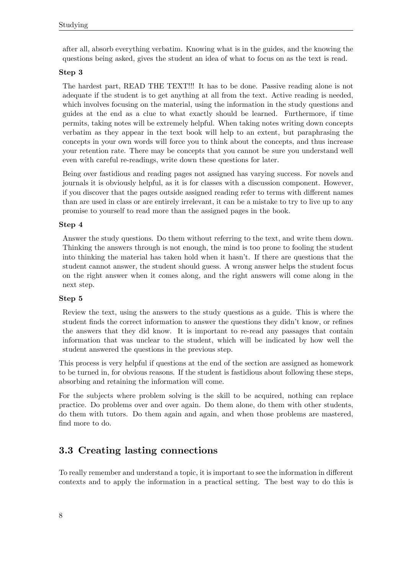after all, absorb everything verbatim. Knowing what is in the guides, and the knowing the questions being asked, gives the student an idea of what to focus on as the text is read.

#### **Step 3**

The hardest part, READ THE TEXT!!! It has to be done. Passive reading alone is not adequate if the student is to get anything at all from the text. Active reading is needed, which involves focusing on the material, using the information in the study questions and guides at the end as a clue to what exactly should be learned. Furthermore, if time permits, taking notes will be extremely helpful. When taking notes writing down concepts verbatim as they appear in the text book will help to an extent, but paraphrasing the concepts in your own words will force you to think about the concepts, and thus increase your retention rate. There may be concepts that you cannot be sure you understand well even with careful re-readings, write down these questions for later.

Being over fastidious and reading pages not assigned has varying success. For novels and journals it is obviously helpful, as it is for classes with a discussion component. However, if you discover that the pages outside assigned reading refer to terms with different names than are used in class or are entirely irrelevant, it can be a mistake to try to live up to any promise to yourself to read more than the assigned pages in the book.

#### **Step 4**

Answer the study questions. Do them without referring to the text, and write them down. Thinking the answers through is not enough, the mind is too prone to fooling the student into thinking the material has taken hold when it hasn't. If there are questions that the student cannot answer, the student should guess. A wrong answer helps the student focus on the right answer when it comes along, and the right answers will come along in the next step.

#### **Step 5**

Review the text, using the answers to the study questions as a guide. This is where the student finds the correct information to answer the questions they didn't know, or refines the answers that they did know. It is important to re-read any passages that contain information that was unclear to the student, which will be indicated by how well the student answered the questions in the previous step.

This process is very helpful if questions at the end of the section are assigned as homework to be turned in, for obvious reasons. If the student is fastidious about following these steps, absorbing and retaining the information will come.

For the subjects where problem solving is the skill to be acquired, nothing can replace practice. Do problems over and over again. Do them alone, do them with other students, do them with tutors. Do them again and again, and when those problems are mastered, find more to do.

# <span id="page-10-0"></span>**3.3 Creating lasting connections**

To really remember and understand a topic, it is important to see the information in different contexts and to apply the information in a practical setting. The best way to do this is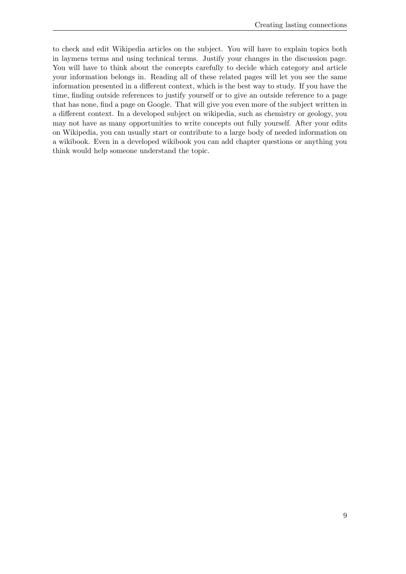to check and edit Wikipedia articles on the subject. You will have to explain topics both in laymens terms and using technical terms. Justify your changes in the discussion page. You will have to think about the concepts carefully to decide which category and article your information belongs in. Reading all of these related pages will let you see the same information presented in a different context, which is the best way to study. If you have the time, finding outside references to justify yourself or to give an outside reference to a page that has none, find a page on Google. That will give you even more of the subject written in a different context. In a developed subject on wikipedia, such as chemistry or geology, you may not have as many opportunities to write concepts out fully yourself. After your edits on Wikipedia, you can usually start or contribute to a large body of needed information on a wikibook. Even in a developed wikibook you can add chapter questions or anything you think would help someone understand the topic.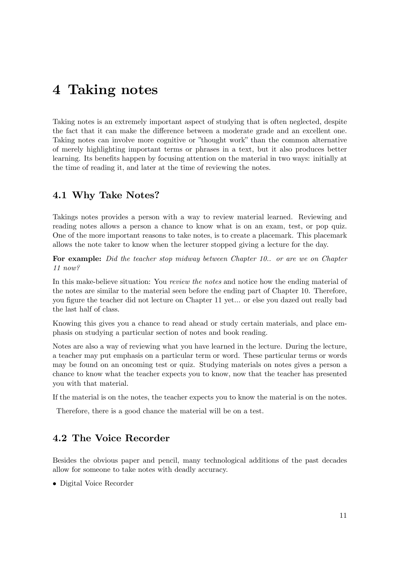# <span id="page-13-0"></span>**4 Taking notes**

Taking notes is an extremely important aspect of studying that is often neglected, despite the fact that it can make the difference between a moderate grade and an excellent one. Taking notes can involve more cognitive or "thought work" than the common alternative of merely highlighting important terms or phrases in a text, but it also produces better learning. Its benefits happen by focusing attention on the material in two ways: initially at the time of reading it, and later at the time of reviewing the notes.

# <span id="page-13-1"></span>**4.1 Why Take Notes?**

Takings notes provides a person with a way to review material learned. Reviewing and reading notes allows a person a chance to know what is on an exam, test, or pop quiz. One of the more important reasons to take notes, is to create a placemark. This placemark allows the note taker to know when the lecturer stopped giving a lecture for the day.

**For example:** *Did the teacher stop midway between Chapter 10.. or are we on Chapter 11 now?*

In this make-believe situation: You *review the notes* and notice how the ending material of the notes are similar to the material seen before the ending part of Chapter 10. Therefore, you figure the teacher did not lecture on Chapter 11 yet... or else you dazed out really bad the last half of class.

Knowing this gives you a chance to read ahead or study certain materials, and place emphasis on studying a particular section of notes and book reading.

Notes are also a way of reviewing what you have learned in the lecture. During the lecture, a teacher may put emphasis on a particular term or word. These particular terms or words may be found on an oncoming test or quiz. Studying materials on notes gives a person a chance to know what the teacher expects you to know, now that the teacher has presented you with that material.

If the material is on the notes, the teacher expects you to know the material is on the notes.

Therefore, there is a good chance the material will be on a test.

# <span id="page-13-2"></span>**4.2 The Voice Recorder**

Besides the obvious paper and pencil, many technological additions of the past decades allow for someone to take notes with deadly accuracy.

• Digital Voice Recorder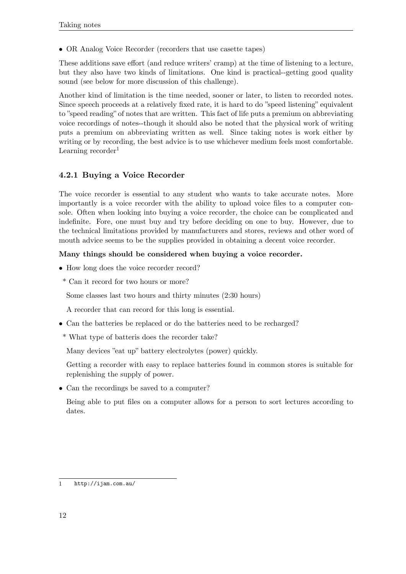• OR Analog Voice Recorder (recorders that use casette tapes)

These additions save effort (and reduce writers' cramp) at the time of listening to a lecture, but they also have two kinds of limitations. One kind is practical--getting good quality sound (see below for more discussion of this challenge).

Another kind of limitation is the time needed, sooner or later, to listen to recorded notes. Since speech proceeds at a relatively fixed rate, it is hard to do "speed listening" equivalent to "speed reading" of notes that are written. This fact of life puts a premium on abbreviating voice recordings of notes--though it should also be noted that the physical work of writing puts a premium on abbreviating written as well. Since taking notes is work either by writing or by recording, the best advice is to use whichever medium feels most comfortable. Learning recorder $<sup>1</sup>$  $<sup>1</sup>$  $<sup>1</sup>$ </sup>

# **4.2.1 Buying a Voice Recorder**

The voice recorder is essential to any student who wants to take accurate notes. More importantly is a voice recorder with the ability to upload voice files to a computer console. Often when looking into buying a voice recorder, the choice can be complicated and indefinite. Fore, one must buy and try before deciding on one to buy. However, due to the technical limitations provided by manufacturers and stores, reviews and other word of mouth advice seems to be the supplies provided in obtaining a decent voice recorder.

#### **Many things should be considered when buying a voice recorder.**

- How long does the voice recorder record?
- \* Can it record for two hours or more?

Some classes last two hours and thirty minutes (2:30 hours)

A recorder that can record for this long is essential.

- Can the batteries be replaced or do the batteries need to be recharged?
- \* What type of batteris does the recorder take?

Many devices "eat up" battery electrolytes (power) quickly.

Getting a recorder with easy to replace batteries found in common stores is suitable for replenishing the supply of power.

• Can the recordings be saved to a computer?

Being able to put files on a computer allows for a person to sort lectures according to dates.

<span id="page-14-0"></span><sup>1</sup> <http://ijam.com.au/>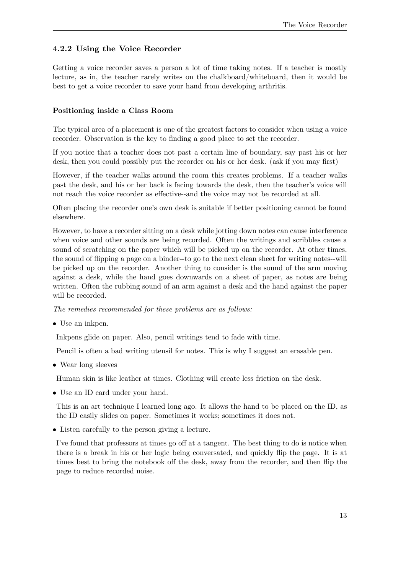### **4.2.2 Using the Voice Recorder**

Getting a voice recorder saves a person a lot of time taking notes. If a teacher is mostly lecture, as in, the teacher rarely writes on the chalkboard/whiteboard, then it would be best to get a voice recorder to save your hand from developing arthritis.

#### **Positioning inside a Class Room**

The typical area of a placement is one of the greatest factors to consider when using a voice recorder. Observation is the key to finding a good place to set the recorder.

If you notice that a teacher does not past a certain line of boundary, say past his or her desk, then you could possibly put the recorder on his or her desk. (ask if you may first)

However, if the teacher walks around the room this creates problems. If a teacher walks past the desk, and his or her back is facing towards the desk, then the teacher's voice will not reach the voice recorder as effective--and the voice may not be recorded at all.

Often placing the recorder one's own desk is suitable if better positioning cannot be found elsewhere.

However, to have a recorder sitting on a desk while jotting down notes can cause interference when voice and other sounds are being recorded. Often the writings and scribbles cause a sound of scratching on the paper which will be picked up on the recorder. At other times, the sound of flipping a page on a binder--to go to the next clean sheet for writing notes--will be picked up on the recorder. Another thing to consider is the sound of the arm moving against a desk, while the hand goes downwards on a sheet of paper, as notes are being written. Often the rubbing sound of an arm against a desk and the hand against the paper will be recorded.

*The remedies recommended for these problems are as follows:*

• Use an inkpen.

Inkpens glide on paper. Also, pencil writings tend to fade with time.

Pencil is often a bad writing utensil for notes. This is why I suggest an erasable pen.

• Wear long sleeves

Human skin is like leather at times. Clothing will create less friction on the desk.

• Use an ID card under your hand.

This is an art technique I learned long ago. It allows the hand to be placed on the ID, as the ID easily slides on paper. Sometimes it works; sometimes it does not.

• Listen carefully to the person giving a lecture.

I've found that professors at times go off at a tangent. The best thing to do is notice when there is a break in his or her logic being conversated, and quickly flip the page. It is at times best to bring the notebook off the desk, away from the recorder, and then flip the page to reduce recorded noise.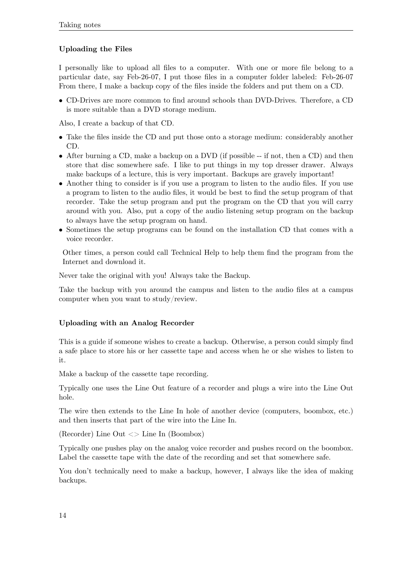#### **Uploading the Files**

I personally like to upload all files to a computer. With one or more file belong to a particular date, say Feb-26-07, I put those files in a computer folder labeled: Feb-26-07 From there, I make a backup copy of the files inside the folders and put them on a CD.

• CD-Drives are more common to find around schools than DVD-Drives. Therefore, a CD is more suitable than a DVD storage medium.

Also, I create a backup of that CD.

- Take the files inside the CD and put those onto a storage medium: considerably another CD.
- After burning a CD, make a backup on a DVD (if possible -- if not, then a CD) and then store that disc somewhere safe. I like to put things in my top dresser drawer. Always make backups of a lecture, this is very important. Backups are gravely important!
- Another thing to consider is if you use a program to listen to the audio files. If you use a program to listen to the audio files, it would be best to find the setup program of that recorder. Take the setup program and put the program on the CD that you will carry around with you. Also, put a copy of the audio listening setup program on the backup to always have the setup program on hand.
- Sometimes the setup programs can be found on the installation CD that comes with a voice recorder.

Other times, a person could call Technical Help to help them find the program from the Internet and download it.

Never take the original with you! Always take the Backup.

Take the backup with you around the campus and listen to the audio files at a campus computer when you want to study/review.

#### **Uploading with an Analog Recorder**

This is a guide if someone wishes to create a backup. Otherwise, a person could simply find a safe place to store his or her cassette tape and access when he or she wishes to listen to it.

Make a backup of the cassette tape recording.

Typically one uses the Line Out feature of a recorder and plugs a wire into the Line Out hole.

The wire then extends to the Line In hole of another device (computers, boombox, etc.) and then inserts that part of the wire into the Line In.

(Recorder) Line Out <> Line In (Boombox)

Typically one pushes play on the analog voice recorder and pushes record on the boombox. Label the cassette tape with the date of the recording and set that somewhere safe.

You don't technically need to make a backup, however, I always like the idea of making backups.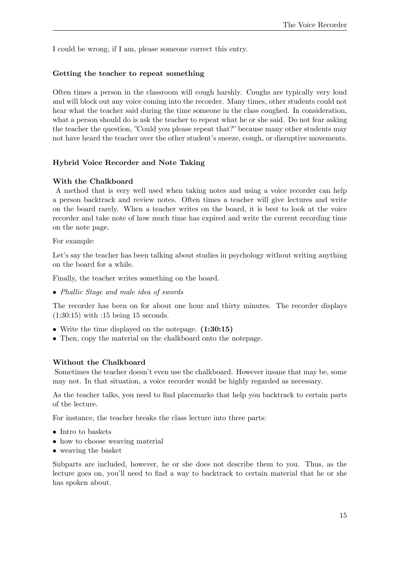I could be wrong, if I am, please someone correct this entry.

#### **Getting the teacher to repeat something**

Often times a person in the classroom will cough harshly. Coughs are typically very loud and will block out any voice coming into the recorder. Many times, other students could not hear what the teacher said during the time someone in the class coughed. In consideration, what a person should do is ask the teacher to repeat what he or she said. Do not fear asking the teacher the question, "Could you please repeat that?" because many other students may not have heard the teacher over the other student's sneeze, cough, or disruptive movements.

#### **Hybrid Voice Recorder and Note Taking**

#### **With the Chalkboard**

A method that is very well used when taking notes and using a voice recorder can help a person backtrack and review notes. Often times a teacher will give lectures and write on the board rarely. When a teacher writes on the board, it is best to look at the voice recorder and take note of how much time has expired and write the current recording time on the note page.

For example:

Let's say the teacher has been talking about studies in psychology without writing anything on the board for a while.

Finally, the teacher writes something on the board.

• *Phallic Stage and male idea of swords*

The recorder has been on for about one hour and thirty minutes. The recorder displays (1:30:15) with :15 being 15 seconds.

- Write the time displayed on the notepage. **(1:30:15)**
- Then, copy the material on the chalkboard onto the notepage.

#### **Without the Chalkboard**

Sometimes the teacher doesn't even use the chalkboard. However insane that may be, some may not. In that situation, a voice recorder would be highly regarded as necessary.

As the teacher talks, you need to find placemarks that help you backtrack to certain parts of the lecture.

For instance, the teacher breaks the class lecture into three parts:

- Intro to baskets
- how to choose weaving material
- weaving the basket

Subparts are included, however, he or she does not describe them to you. Thus, as the lecture goes on, you'll need to find a way to backtrack to certain material that he or she has spoken about.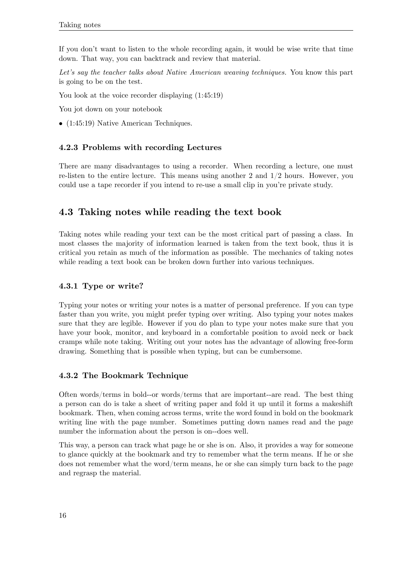If you don't want to listen to the whole recording again, it would be wise write that time down. That way, you can backtrack and review that material.

*Let's say the teacher talks about Native American weaving techniques.* You know this part is going to be on the test.

You look at the voice recorder displaying  $(1:45:19)$ 

You jot down on your notebook

• (1:45:19) Native American Techniques.

#### **4.2.3 Problems with recording Lectures**

There are many disadvantages to using a recorder. When recording a lecture, one must re-listen to the entire lecture. This means using another 2 and  $1/2$  hours. However, you could use a tape recorder if you intend to re-use a small clip in you're private study.

# <span id="page-18-0"></span>**4.3 Taking notes while reading the text book**

Taking notes while reading your text can be the most critical part of passing a class. In most classes the majority of information learned is taken from the text book, thus it is critical you retain as much of the information as possible. The mechanics of taking notes while reading a text book can be broken down further into various techniques.

#### **4.3.1 Type or write?**

Typing your notes or writing your notes is a matter of personal preference. If you can type faster than you write, you might prefer typing over writing. Also typing your notes makes sure that they are legible. However if you do plan to type your notes make sure that you have your book, monitor, and keyboard in a comfortable position to avoid neck or back cramps while note taking. Writing out your notes has the advantage of allowing free-form drawing. Something that is possible when typing, but can be cumbersome.

#### **4.3.2 The Bookmark Technique**

Often words/terms in bold--or words/terms that are important--are read. The best thing a person can do is take a sheet of writing paper and fold it up until it forms a makeshift bookmark. Then, when coming across terms, write the word found in bold on the bookmark writing line with the page number. Sometimes putting down names read and the page number the information about the person is on--does well.

This way, a person can track what page he or she is on. Also, it provides a way for someone to glance quickly at the bookmark and try to remember what the term means. If he or she does not remember what the word/term means, he or she can simply turn back to the page and regrasp the material.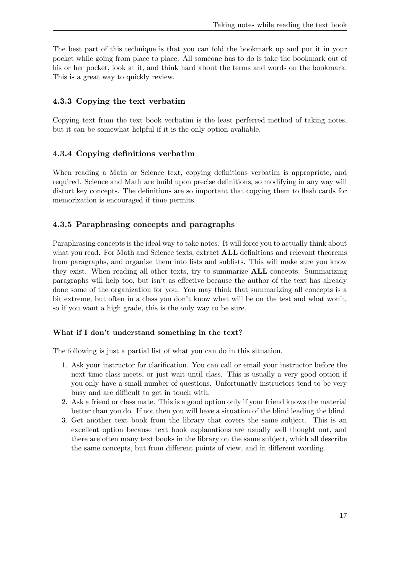The best part of this technique is that you can fold the bookmark up and put it in your pocket while going from place to place. All someone has to do is take the bookmark out of his or her pocket, look at it, and think hard about the terms and words on the bookmark. This is a great way to quickly review.

### **4.3.3 Copying the text verbatim**

Copying text from the text book verbatim is the least perferred method of taking notes, but it can be somewhat helpful if it is the only option avaliable.

### **4.3.4 Copying definitions verbatim**

When reading a Math or Science text, copying definitions verbatim is appropriate, and required. Science and Math are build upon precise definitions, so modifying in any way will distort key concepts. The definitions are so important that copying them to flash cards for memorization is encouraged if time permits.

### **4.3.5 Paraphrasing concepts and paragraphs**

Paraphrasing concepts is the ideal way to take notes. It will force you to actually think about what you read. For Math and Science texts, extract **ALL** definitions and relevant theorems from paragraphs, and organize them into lists and sublists. This will make sure you know they exist. When reading all other texts, try to summarize **ALL** concepts. Summarizing paragraphs will help too, but isn't as effective because the author of the text has already done some of the organization for you. You may think that summarizing all concepts is a bit extreme, but often in a class you don't know what will be on the test and what won't, so if you want a high grade, this is the only way to be sure.

#### **What if I don't understand something in the text?**

The following is just a partial list of what you can do in this situation.

- 1. Ask your instructor for clarification. You can call or email your instructor before the next time class meets, or just wait until class. This is usually a very good option if you only have a small number of questions. Unfortunatly instructors tend to be very busy and are difficult to get in touch with.
- 2. Ask a friend or class mate. This is a good option only if your friend knows the material better than you do. If not then you will have a situation of the blind leading the blind.
- 3. Get another text book from the library that covers the same subject. This is an excellent option because text book explanations are usually well thought out, and there are often many text books in the library on the same subject, which all describe the same concepts, but from different points of view, and in different wording.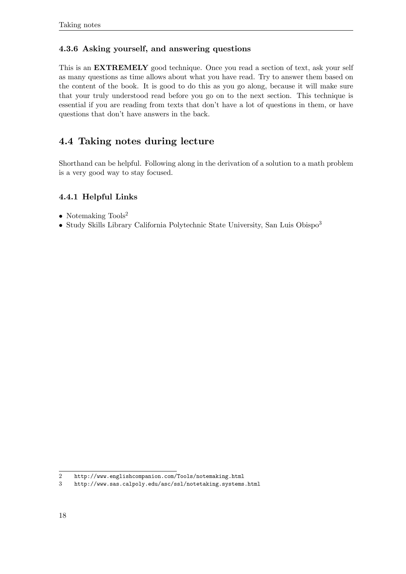### **4.3.6 Asking yourself, and answering questions**

This is an **EXTREMELY** good technique. Once you read a section of text, ask your self as many questions as time allows about what you have read. Try to answer them based on the content of the book. It is good to do this as you go along, because it will make sure that your truly understood read before you go on to the next section. This technique is essential if you are reading from texts that don't have a lot of questions in them, or have questions that don't have answers in the back.

# <span id="page-20-0"></span>**4.4 Taking notes during lecture**

Shorthand can be helpful. Following along in the derivation of a solution to a math problem is a very good way to stay focused.

### **4.4.1 Helpful Links**

- Notemaking  $\mathrm{Tools}^2$  $\mathrm{Tools}^2$
- Study Skills Library California Polytechnic State University, San Luis Obispo<sup>[3](#page-20-2)</sup>

<span id="page-20-1"></span><sup>2</sup> <http://www.englishcompanion.com/Tools/notemaking.html>

<span id="page-20-2"></span><sup>3</sup> <http://www.sas.calpoly.edu/asc/ssl/notetaking.systems.html>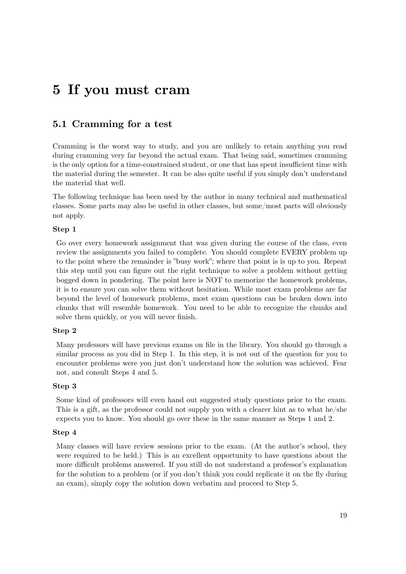# <span id="page-21-0"></span>**5 If you must cram**

### <span id="page-21-1"></span>**5.1 Cramming for a test**

Cramming is the worst way to study, and you are unlikely to retain anything you read during cramming very far beyond the actual exam. That being said, sometimes cramming is the only option for a time-constrained student, or one that has spent insufficient time with the material during the semester. It can be also quite useful if you simply don't understand the material that well.

The following technique has been used by the author in many technical and mathematical classes. Some parts may also be useful in other classes, but some/most parts will obviously not apply.

#### **Step 1**

Go over every homework assignment that was given during the course of the class, even review the assignments you failed to complete. You should complete EVERY problem up to the point where the remainder is "busy work"; where that point is is up to you. Repeat this step until you can figure out the right technique to solve a problem without getting bogged down in pondering. The point here is NOT to memorize the homework problems, it is to ensure you can solve them without hesitation. While most exam problems are far beyond the level of homework problems, most exam questions can be broken down into chunks that will resemble homework. You need to be able to recognize the chunks and solve them quickly, or you will never finish.

#### **Step 2**

Many professors will have previous exams on file in the library. You should go through a similar process as you did in Step 1. In this step, it is not out of the question for you to encounter problems were you just don't understand how the solution was achieved. Fear not, and consult Steps 4 and 5.

#### **Step 3**

Some kind of professors will even hand out suggested study questions prior to the exam. This is a gift, as the professor could not supply you with a clearer hint as to what he/she expects you to know. You should go over these in the same manner as Steps 1 and 2.

#### **Step 4**

Many classes will have review sessions prior to the exam. (At the author's school, they were required to be held.) This is an excellent opportunity to have questions about the more difficult problems answered. If you still do not understand a professor's explanation for the solution to a problem (or if you don't think you could replicate it on the fly during an exam), simply copy the solution down verbatim and proceed to Step 5.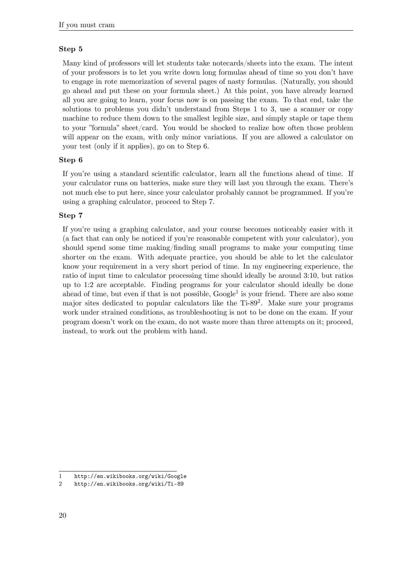### **Step 5**

Many kind of professors will let students take notecards/sheets into the exam. The intent of your professors is to let you write down long formulas ahead of time so you don't have to engage in rote memorization of several pages of nasty formulas. (Naturally, you should go ahead and put these on your formula sheet.) At this point, you have already learned all you are going to learn, your focus now is on passing the exam. To that end, take the solutions to problems you didn't understand from Steps 1 to 3, use a scanner or copy machine to reduce them down to the smallest legible size, and simply staple or tape them to your "formula" sheet/card. You would be shocked to realize how often those problem will appear on the exam, with only minor variations. If you are allowed a calculator on your test (only if it applies), go on to Step 6.

#### **Step 6**

If you're using a standard scientific calculator, learn all the functions ahead of time. If your calculator runs on batteries, make sure they will last you through the exam. There's not much else to put here, since your calculator probably cannot be programmed. If you're using a graphing calculator, proceed to Step 7.

### **Step 7**

If you're using a graphing calculator, and your course becomes noticeably easier with it (a fact that can only be noticed if you're reasonable competent with your calculator), you should spend some time making/finding small programs to make your computing time shorter on the exam. With adequate practice, you should be able to let the calculator know your requirement in a very short period of time. In my engineering experience, the ratio of input time to calculator processing time should ideally be around 3:10, but ratios up to 1:2 are acceptable. Finding programs for your calculator should ideally be done ahead of time, but even if that is not possible,  $Google<sup>1</sup>$  $Google<sup>1</sup>$  $Google<sup>1</sup>$  is your friend. There are also some major sites dedicated to popular calculators like the  $Ti-89<sup>2</sup>$  $Ti-89<sup>2</sup>$  $Ti-89<sup>2</sup>$ . Make sure your programs work under strained conditions, as troubleshooting is not to be done on the exam. If your program doesn't work on the exam, do not waste more than three attempts on it; proceed, instead, to work out the problem with hand.

<span id="page-22-0"></span><sup>1</sup> <http://en.wikibooks.org/wiki/Google>

<span id="page-22-1"></span><sup>2</sup> <http://en.wikibooks.org/wiki/Ti-89>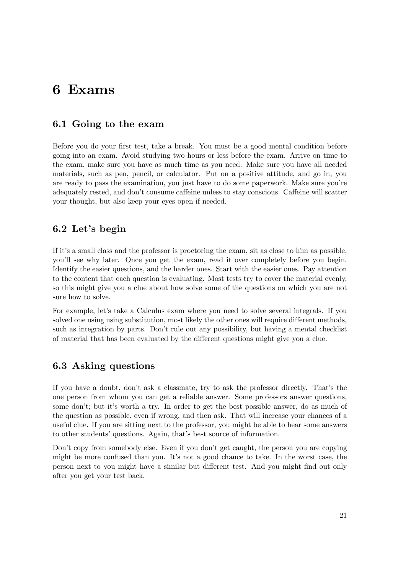# <span id="page-23-0"></span>**6 Exams**

# <span id="page-23-1"></span>**6.1 Going to the exam**

Before you do your first test, take a break. You must be a good mental condition before going into an exam. Avoid studying two hours or less before the exam. Arrive on time to the exam, make sure you have as much time as you need. Make sure you have all needed materials, such as pen, pencil, or calculator. Put on a positive attitude, and go in, you are ready to pass the examination, you just have to do some paperwork. Make sure you're adequately rested, and don't consume caffeine unless to stay conscious. Caffeine will scatter your thought, but also keep your eyes open if needed.

# <span id="page-23-2"></span>**6.2 Let's begin**

If it's a small class and the professor is proctoring the exam, sit as close to him as possible, you'll see why later. Once you get the exam, read it over completely before you begin. Identify the easier questions, and the harder ones. Start with the easier ones. Pay attention to the content that each question is evaluating. Most tests try to cover the material evenly, so this might give you a clue about how solve some of the questions on which you are not sure how to solve.

For example, let's take a Calculus exam where you need to solve several integrals. If you solved one using using substitution, most likely the other ones will require different methods, such as integration by parts. Don't rule out any possibility, but having a mental checklist of material that has been evaluated by the different questions might give you a clue.

# <span id="page-23-3"></span>**6.3 Asking questions**

If you have a doubt, don't ask a classmate, try to ask the professor directly. That's the one person from whom you can get a reliable answer. Some professors answer questions, some don't; but it's worth a try. In order to get the best possible answer, do as much of the question as possible, even if wrong, and then ask. That will increase your chances of a useful clue. If you are sitting next to the professor, you might be able to hear some answers to other students' questions. Again, that's best source of information.

Don't copy from somebody else. Even if you don't get caught, the person you are copying might be more confused than you. It's not a good chance to take. In the worst case, the person next to you might have a similar but different test. And you might find out only after you get your test back.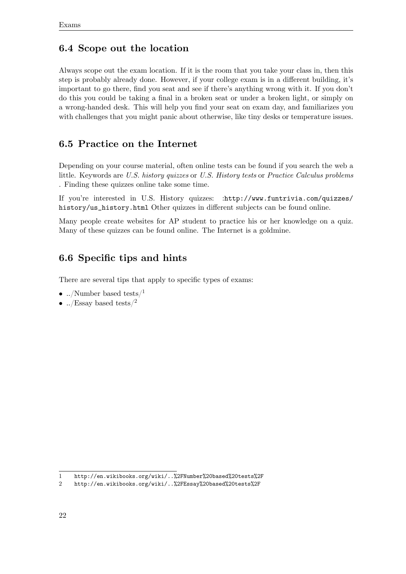# <span id="page-24-0"></span>**6.4 Scope out the location**

Always scope out the exam location. If it is the room that you take your class in, then this step is probably already done. However, if your college exam is in a different building, it's important to go there, find you seat and see if there's anything wrong with it. If you don't do this you could be taking a final in a broken seat or under a broken light, or simply on a wrong-handed desk. This will help you find your seat on exam day, and familiarizes you with challenges that you might panic about otherwise, like tiny desks or temperature issues.

# <span id="page-24-1"></span>**6.5 Practice on the Internet**

Depending on your course material, often online tests can be found if you search the web a little. Keywords are *U.S. history quizzes* or *U.S. History tests* or *Practice Calculus problems* . Finding these quizzes online take some time.

If you're interested in U.S. History quizzes: :[http://www.funtrivia.com/quizzes/](http://www.funtrivia.com/quizzes/history/us_history.html) [history/us\\_history.html](http://www.funtrivia.com/quizzes/history/us_history.html) Other quizzes in different subjects can be found online.

Many people create websites for AP student to practice his or her knowledge on a quiz. Many of these quizzes can be found online. The Internet is a goldmine.

# <span id="page-24-2"></span>**6.6 Specific tips and hints**

There are several tips that apply to specific types of exams:

- ../Number based tests/ $^1$  $^1$
- ../Essay based tests/<sup>[2](#page-24-4)</sup>

<span id="page-24-3"></span><sup>1</sup> <http://en.wikibooks.org/wiki/..%2FNumber%20based%20tests%2F>

<span id="page-24-4"></span><sup>2</sup> <http://en.wikibooks.org/wiki/..%2FEssay%20based%20tests%2F>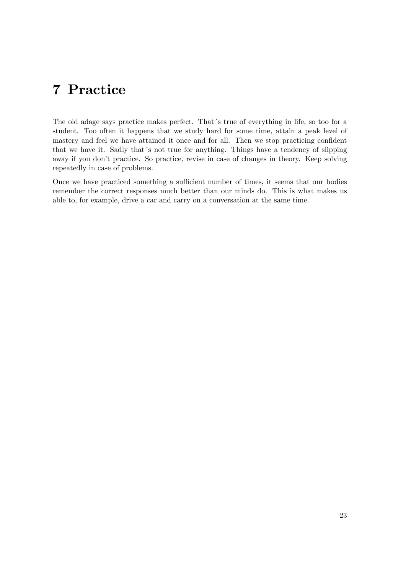# <span id="page-25-0"></span>**7 Practice**

The old adage says practice makes perfect. That´s true of everything in life, so too for a student. Too often it happens that we study hard for some time, attain a peak level of mastery and feel we have attained it once and for all. Then we stop practicing confident that we have it. Sadly that´s not true for anything. Things have a tendency of slipping away if you don't practice. So practice, revise in case of changes in theory. Keep solving repeatedly in case of problems.

Once we have practiced something a sufficient number of times, it seems that our bodies remember the correct responses much better than our minds do. This is what makes us able to, for example, drive a car and carry on a conversation at the same time.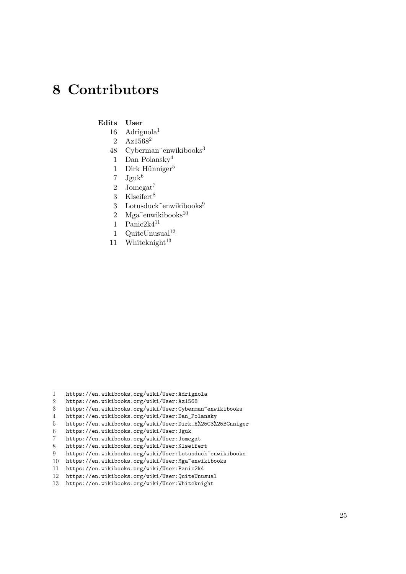# <span id="page-27-0"></span>**8 Contributors**

#### **Edits User**

- $16$  Adrignola<sup>1</sup>
- 2 Az15682
- 48 Cyberman~enwikibooks<sup>3</sup>
- 1 Dan Polansky4
- 1 Dirk Hünniger<sup>5</sup>
- $7 \text{ Jguk}^6$
- 2 Jomegat<sup>7</sup>
- 3 Klseifert $8$
- 3 Lotusduck~enwikibooks<sup>9</sup>
- 2 Mga~enwikibooks $^{10}$
- 1 Panic2k $4^{11}$
- 1  $QuiteUnusual<sup>12</sup>$
- 11 Whiteknight $13$

<sup>1</sup> <https://en.wikibooks.org/wiki/User:Adrignola>

<sup>2</sup> <https://en.wikibooks.org/wiki/User:Az1568>

<sup>3</sup> <https://en.wikibooks.org/wiki/User:Cyberman~enwikibooks>

<sup>4</sup> [https://en.wikibooks.org/wiki/User:Dan\\_Polansky](https://en.wikibooks.org/wiki/User:Dan_Polansky)

<sup>5</sup> [https://en.wikibooks.org/wiki/User:Dirk\\_H%25C3%25BCnniger](https://en.wikibooks.org/wiki/User:Dirk_H%25C3%25BCnniger)

<sup>6</sup> <https://en.wikibooks.org/wiki/User:Jguk>

<sup>7</sup> <https://en.wikibooks.org/wiki/User:Jomegat>

<sup>8</sup> <https://en.wikibooks.org/wiki/User:Klseifert>

<sup>9</sup> <https://en.wikibooks.org/wiki/User:Lotusduck~enwikibooks>

<sup>10</sup> <https://en.wikibooks.org/wiki/User:Mga~enwikibooks>

<sup>11</sup> <https://en.wikibooks.org/wiki/User:Panic2k4>

<sup>12</sup> <https://en.wikibooks.org/wiki/User:QuiteUnusual>

<sup>13</sup> <https://en.wikibooks.org/wiki/User:Whiteknight>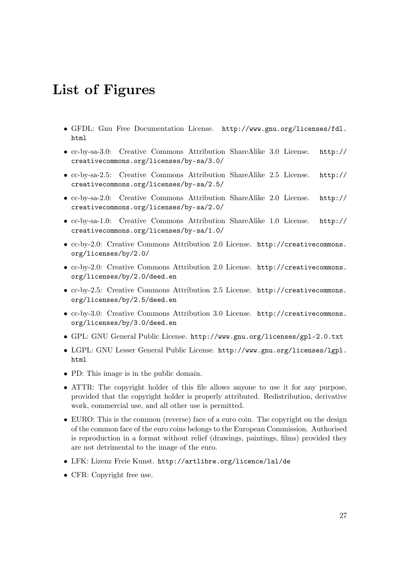# <span id="page-29-0"></span>**List of Figures**

- GFDL: Gnu Free Documentation License. [http://www.gnu.org/licenses/fdl.](http://www.gnu.org/licenses/fdl.html) [html](http://www.gnu.org/licenses/fdl.html)
- cc-by-sa-3.0: Creative Commons Attribution ShareAlike 3.0 License. [http://](http://creativecommons.org/licenses/by-sa/3.0/) [creativecommons.org/licenses/by-sa/3.0/](http://creativecommons.org/licenses/by-sa/3.0/)
- cc-by-sa-2.5: Creative Commons Attribution ShareAlike 2.5 License. [http://](http://creativecommons.org/licenses/by-sa/2.5/) [creativecommons.org/licenses/by-sa/2.5/](http://creativecommons.org/licenses/by-sa/2.5/)
- cc-by-sa-2.0: Creative Commons Attribution ShareAlike 2.0 License. [http://](http://creativecommons.org/licenses/by-sa/2.0/) [creativecommons.org/licenses/by-sa/2.0/](http://creativecommons.org/licenses/by-sa/2.0/)
- cc-by-sa-1.0: Creative Commons Attribution ShareAlike 1.0 License. [http://](http://creativecommons.org/licenses/by-sa/1.0/) [creativecommons.org/licenses/by-sa/1.0/](http://creativecommons.org/licenses/by-sa/1.0/)
- cc-by-2.0: Creative Commons Attribution 2.0 License. [http://creativecommons.](http://creativecommons.org/licenses/by/2.0/) [org/licenses/by/2.0/](http://creativecommons.org/licenses/by/2.0/)
- cc-by-2.0: Creative Commons Attribution 2.0 License. [http://creativecommons.](http://creativecommons.org/licenses/by/2.0/deed.en) [org/licenses/by/2.0/deed.en](http://creativecommons.org/licenses/by/2.0/deed.en)
- cc-by-2.5: Creative Commons Attribution 2.5 License. [http://creativecommons.](http://creativecommons.org/licenses/by/2.5/deed.en) [org/licenses/by/2.5/deed.en](http://creativecommons.org/licenses/by/2.5/deed.en)
- cc-by-3.0: Creative Commons Attribution 3.0 License. [http://creativecommons.](http://creativecommons.org/licenses/by/3.0/deed.en) [org/licenses/by/3.0/deed.en](http://creativecommons.org/licenses/by/3.0/deed.en)
- GPL: GNU General Public License. <http://www.gnu.org/licenses/gpl-2.0.txt>
- LGPL: GNU Lesser General Public License. [http://www.gnu.org/licenses/lgpl.](http://www.gnu.org/licenses/lgpl.html) [html](http://www.gnu.org/licenses/lgpl.html)
- PD: This image is in the public domain.
- ATTR: The copyright holder of this file allows anyone to use it for any purpose, provided that the copyright holder is properly attributed. Redistribution, derivative work, commercial use, and all other use is permitted.
- EURO: This is the common (reverse) face of a euro coin. The copyright on the design of the common face of the euro coins belongs to the European Commission. Authorised is reproduction in a format without relief (drawings, paintings, films) provided they are not detrimental to the image of the euro.
- LFK: Lizenz Freie Kunst. <http://artlibre.org/licence/lal/de>
- CFR: Copyright free use.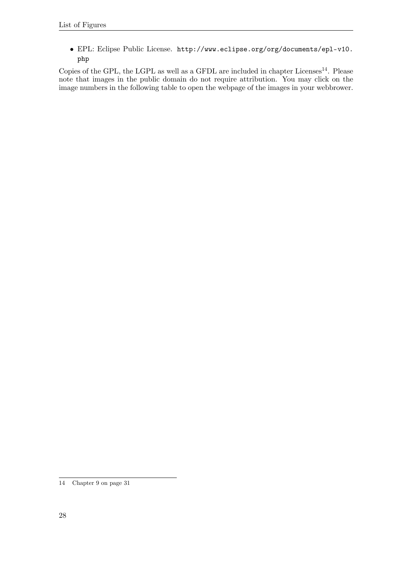• EPL: Eclipse Public License. [http://www.eclipse.org/org/documents/epl-v10.](http://www.eclipse.org/org/documents/epl-v10.php) [php](http://www.eclipse.org/org/documents/epl-v10.php)

Copies of the GPL, the LGPL as well as a GFDL are included in chapter Licenses<sup>[14](#page-30-0)</sup>. Please note that images in the public domain do not require attribution. You may click on the image numbers in the following table to open the webpage of the images in your webbrower.

<span id="page-30-0"></span><sup>14</sup> Chapter [9](#page-33-0) on page [31](#page-33-0)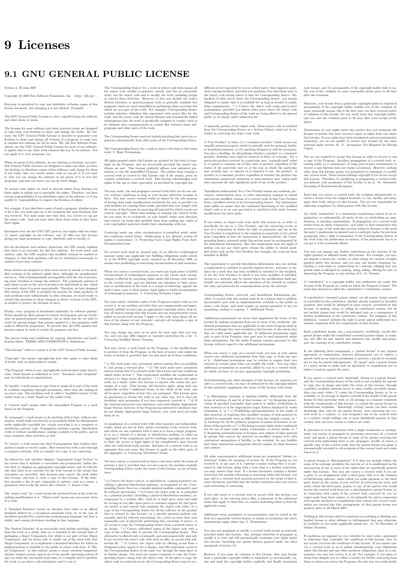# <span id="page-33-0"></span>**9 Licenses**

### <span id="page-33-1"></span>**9.1 GNU GENERAL PUBLIC LICENSE**

Version 3, 29 June 2007

Copyright  $\odot$  2007 Free Software Foundation, Inc. <http://fsf.org/>

Everyone is permitted to copy and distribute verbatim copies of this license document, but changing it is not allowed. Preamble

The GNU General Public License is a free, copyleft license for software and other kinds of works.

The licenses for most software and other practical works are designed<br>to take away your freedom to share and change the works. By contrast, the GNU General Public License is intended to guarantee your<br>freedom to share and can apply it to your programs, too.

When we speak of free software, we are referring to freedom, not price.<br>Our General Public Licenses are designed to make sure that you have<br>the freedom to distribute copies of free software (and charge for them<br>if you wis

To protect your rights, we need to prevent others from denying you<br>these rights or asking you to surrender the rights. Therefore, you have<br>certain responsibilities if you distribute copies of the software, or if you<br>modif

For example, if you distribute copies of such a program, whether gratistic or for a fee, you must pass on to the recipients the same freedoms that you received. You must make sure that they, too, receive or can get the so their rights.

Developers that use the GNU GPL protect your rights with two steps: (1) assert copyright on the software, and (2) offer you this License giving you legal permission to copy, distribute and/or modify it.

For the developers' and authors' protection, the GPL clearly explains<br>that there is no warranty for this free software. For both users' and<br>authors' sake, the GPL requires that modified versions be marked as<br>authors' sake

Some devies are designed to deny users access to install or run modeling defined to effore devies and oso. This is fundamentally incompatible with the aim of protect-<br>can do so. This is fundamentally incompatible with the

Finally, every program is threatened constantly by software patents.<br>States should not allow patents to restrict development and use of soft-<br>avave on general-purpose computers, but in those that do, we wish to<br>avoid the

The precise terms and conditions for copying, distribution and modi-fication follow. TERMS AND CONDITIONS 0. Definitions.

"This License" refers to version 3 of the GNU General Public License.

"Copyright" also means copyright-like laws that apply to other kinds of works, such as semiconductor masks.

"The Program" refers to any copyrightable work licensed under this Li-cense. Each licensee is addressed as "you". "Licensees" and "recipients" may be individuals or organizations.

.<br>To "modify" a work means to copy from or adapt all or part of the work<br>ashion requiring convright permission, other than the making of in a fashion requiring copyright permission, or an exact copy. The resulting work is called a "modified version" of the earlier work or a work "based on" the earlier work.

A "covered work" means either the unmodified Program or a work based on the Program.

To "propagate" a work means to do anything with it that, without performing<br>imission, would make you directly or secondarily liable for infringement<br>under applicable copyright law, except executing it on a computer or<br>mod

To "convey" a work means any kind of propagation that enables other parties to make or receive copies. Mere interaction with a user through a computer network, with no transfer of a copy, is not conveying.

An interactive user interface displays "Appropriate Legal Noticss" to<br>the extent that it includes a convenient and prominently visible feature<br>that (1) displays an appropriate copyright notice, and (2) tells the<br>user that

The "source code" for a work means the preferred form of the work for making modifications to it. "Object code" means any non-source form of a work.

rd Interface" means an interface that either is an official standard defined by a recognized standards body, or, in the case of interfaces specified for a particular programming language, one that is widely used among developers working in that language.

The "System Libraries" of an executable work include anything, other than the work as a whole, that (a) is included in the normal form of packaging a Major Component, but which is not part of that Major Component, and (b)

The "Corresponding Source" for a work in object code form means all<br>the source code needed to generate, install, and (for an executable<br>work) run the object code and to modify the work, including scripts<br>to control those System Libraries, or general-purpose tools or generally available free programs which are used unmodified in performing those activities but which are not part of the work. For example, Corresponding Source includes interface definition files associated with source files for the<br>work, and the source code for shared libraries and dynamically linked<br>subprograms that the work is specifically designed to require, such as<br>by inti

The Corresponding Source need not include anything that users can re-generate automatically from other parts of the Corresponding Source.

The Corresponding Source for a work in source code form is that same work. 2. Basic Permissions.

All rights granted under this License are granted for the term of copy<br>right on the Program, and are irrevocable provided the stated conductions are met. This License explicitly affirms your unimited persion<br>insison to ru rights of fair use or other equivalent, as provided by copyright law.

You may make, run and propagate covered works that you can one con-<br>vey, without conditions so long as your license otherwise remains in<br>force. You may convey covered works to others for the sole purpose<br>force. You may co

Conveying under any other circumstances is permitted solely under the conditions stated below. Sublicensing is not allowed; section 10 makes it unnecessary. 3. Protecting Users' Legal Rights From Anti-Circumvention Law.

No covered work shall be deemed part of an effective technological<br>measure under any applicable law fulfilling obligations under article<br>11 of the WIPO copyright treaty alopted on 20 December 1996, or<br>31 infar laws prohibi

When you convey a covered work, you waive any legal power to forbid<br>circumvention of technological measures to the extent such circumcircumvention of technological measures to the extent such circum-<br>vention is effected by exercising rights under this License with respect<br>to the covered work, and you disclaim any intention to limit to<br>persion or modifi

You may convey verbatim copies of the Program's source code as receive it, in any medium, provided that you conspicuously and appro-priately publish on each copy an appropriate copyright notice; keep in-tact all notices stating that this License and any non-permissive terms added in accord with section 7 apply to the code; keep intact all no-tices of the absence of any warranty; and give all recipients a copy of this License along with the Program.

You may charge any price or no price for each copy that you of warranty protection for a fee. 5. and you may offer support or veying Modified Source Version.

You may convey a work based on the Program, or the modifications to produce it from the Program, in the form of source code under the terms of section 4, provided that you also meet all of these conditions:

\* a) The work must carry prominent notices stating that you modified<br>it, and giving a relevant atac. \* b) The work must carry prominent<br>notices stating that it is released under this License and any conditions<br>added under all its parts, regardless of how they are packaged. This license gives<br>no permission to license the work in any other way, but it does not<br>invalidate such permission if you have separately received it.  $*$  d) I<br>the work h

A compilation of a covered work with other separate and independent works, which are not by their nature extensions of the covered work, and which are not combined with it such as to form a larger program, in or on a volume of a storage or distribution medium, is called an<br>"aggregate" if the compilation and its resulting copyright are not used<br>what the intectess or legal rights of the compilation's users beyond<br>what the ind

You may convey a covered work in object code form under the terms of sections 4 and 5, provided that you also convey the machine-readable Corresponding Source under the terms of this License, in one of these ways:

 $^*$ a) Convey the object code in, or embodiel in, a physical product (in a physical production medium), accompanied by the Corre-for-sponding Source fixed on a durable physical medium customarily used<br>for software interch reasonable cost of physically performing this conveying of source, or<br>
(2) access to copy the Corresponding Source from a network server at<br>
no charge. \* c) Convey individual copies of the object code with a copy of the written offer to provide the Corresponding Source. This<br>daternative is allowed only occasionally and noncommercially, and only<br>if you received the object code with such an offer, in accord with sub-<br>estima 6b. different server (operated by you or a third party) that supports equivalent copying facilities, provided you maintain clear directions next to the object code saying where to find the Corresponding Source. Regardless of w obligated to ensure that it is available for as long as needed to satisfy<br>chosen reduces requirements. \* e) Convey the object code using peer-to-peer<br>transmission, provided you inform other peers where the object code<br>and

A separable portion of the object code, whose source code is excluded from the Corresponding Source as a System Library, need not be in-cluded in conveying the object code work.

A "User Product" is either (1) a "consumer product", which means any<br>a transpile personal property which is normally used for personal, family<br>or household purposes, or (2) anything designed or sold for incorporation<br>into

"Installation Information" for a User Product means any methods cedures, authorization keys, or other information required to instal<br>and execute modified versions of a covered work in that User Product<br>from a modified version of its Corresponding Source. The information<br>must suffice to modification has been made.

If you convey an object code work under this section in, or with, or<br>specifically for use in, a User Product, and the conveying occurs as<br>part of a transaction in which the right of possession and use of the<br>User Product installed in ROM).

The requirement to convide Installation Information does not include<br>a requirement to continue to provide support service, warranty, or up<br>dates for a work that has been modified or installed by the recipient<br>or for the U terially and adversely affects the operation of the network or violates the rules and protocols for communication across the network.

Corresponding Source conveyed, and Installation Information pro-<br>vided, in accord with this section must be in a format that is publicly<br>documented (and with an implementation available to the public is<br>ource code form), a

"Additional permissions" are terms that supplement the terms of this License by making exceptions from one or more of its conditions. Ad-ditional permissions that are applicable to the entire Program shall be treated as though they were included in this License, to the extent that they are valid under applicable law. If additional permissions apply to part of the Program, that part may be used separately under those permission

When you convey a copy of a covered work, you may at your option<br>remove any additional permissions from that copy, or from any part<br>remove any additional permissions may be written to require their own<br>removal in certain

Notwithstanding any other provision of this License, for material you add to a covered work, you may (if authorized by the copyright holders of that material) supplement the terms of this License with terms:

 $^*$ a) Dischaimig warrany or limiting liability differently from the terms of sections 15 and 16 of this License; or \*b) Requiring preservation of specified reasonable legal notices or author at<br>the most parameter than ma

All other non-permissive additional terms are considered "further re-strictions" within the meaning of section 10. If the Program as you received it, or any part of it, contains a notice stating that it is governed by this License along with a term that is a further restriction you may remove that term. If a license document contains a further restriction b

If you add terms to a covered work in accord with this section, you must place, in the relevant source files, a statement of the additional terms that apply to those files, or a notice indicating where to find the applicable terms

Additional terms, permissive or non-permissive, may be stated in the form of a separately written license, or stated as exceptions; the above requirements apply either way. 8. Termination.

You may not propagate or modify a covered work except as expre provided under this License. Any attempt otherwise to propagate or modify it is void, and will automatically terminate your rights under this License (including any patent licenses granted under the third paragraph of sec

However, if you cease all violation of this License, then your license from a particular convright holder is reinstated (a) provisionally  $\bar{v}$ from a particular copyright holder is reinstated (a) provisionally, un-less and until the copyright holder explicitly and finally terminates your license, and (b) permanently, if the copyright holder fails to no-tify you of the violation by some reasonable means prior to 60 days after the cessation.

Moreover, your license from a particular copyright holder is reinstated<br>permanently if the copyright holder notifies you of the violation by<br>ormer reasonable means, this is the first time you have received notice<br>of viola

Termination of your rights under this section does not terminate the<br>licenses of parties who have received copies or rights from you under<br>this License. If your rights have been terminated and not permanently<br>teinstated, **Copies** 

You are not required to accept this License in order to receive or run<br>a copy of the Program. Ancillary propagation of a covered work occurring solely as a consequence of using peer-to-peer transmission to<br>receive a copy

Each time you convey a covered work, the recipient automatically recives a license from the original licensors, to run, modify and prop ceives a license from the original licensors, to run, modify and prop-agate that work, subject to this License. You are not responsible for enforcing compliance by third parties with this License.

ntity transaction" is a transaction transferring ganization, or substantially all assets of one, or subdividing an organization, or merging organizations. If propagation of a covered work results from an entity transaction, each party to that transaction where recults f the party's predecessor in interest had or could give under the previous paragraph, plus a right to possession of the Corresponding Source of the work from the predecessor in interest, if the predecessor is it of can get

You may not impose any further restrictions on the exercise of the rights granted or affirmed under this License. For example, you may<br>not impose a license fee, royalty, or other charge for exercise of right<br>granted under this License, and you may not initiate litigation (in<br>cluding a cr

A "contributor" is a copyright holder who authorizes use under this License of the Program or a work on which the Program is based. The work thus licensed is called the contributor's "contributor version".

A contributor's "essential patent claims" are all patent claims owned<br>corortorieled by the contributor, whether already acquired or hereafter<br>acquired, that would be infringed by some manner, permitted by this<br>License, of

Each contributor grants you a non-exclusive, worldwide, royalty-free<br>patent license under the contributor's essential patent claims, to make<br>use, sell, offer for sale, import and otherwise run, modify and propagate the co

In the following three paragraphs, a "patent license" is any express agreement or commitment, however denominated, not to enforce a patent (such as an express permission to practice a patent or cover not to sue for patent infringement). To "grant" such a patent license to a party means to make such an agreement or commitment not to enforce a patent against the party.

If you convey a covered work, knowingly relying on a patent license and the Corresponding Source of the work is not available for anyone to copy, free of charge and under the terms of this License, through a publicly available network server or other readily accessible means<br>publicly available network server or other readily access of the benefit of the patent<br>available, or (2) arrange to deprive yourself of the benefit of

If, pursuant to or in connection with a single transaction or ment, you convey, or propagate by procuring conveyance of, a covered<br>work, and grant a patent license to some of the parties receiving the<br>overed work authorizing them to use, propagate, modify or convey<br>specific copy of t automatically extended to all recipients of the covered work and works based on it.

A patent license is "discriminatory" if it does not include within the scope of its coverage, prohibits the exercise of, or is conditioned on the<br>non-exercise of one or more of the rights that are specifically granted non-exercise of one or more of the rights that are specifically granted<br>more under this License. You may not convey a covered work if you are<br>a party to an arrangement with a third party that is in the business<br>portstroki

Nothing in this License shall be construed as excluding or limiting any implied license or other defenses to infringement that may otherwise be available to you under applicable patent law. 12. No Surrender of Others' Fre

If conditions are imposed on you (whether by court order, agreement<br>or otherwise) that contariote the conditions of this License, they do<br>not excuse you from the conditions of this License. If you cannot con-<br>not excuse w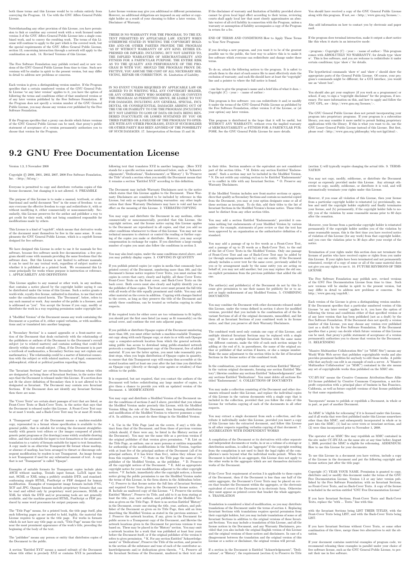both those terms and this License would be to refrain entirely from conveying the Program. 13. Use with the GNU Affero General Public License.

Notwithstanding any other provision of this License, you have permission to link or combine any covered work with a work licensed under version 3 of the GNU Affero General Public License into a single combined work, and t

The Free Software Foundation may publish revised and/or new versions of the GNU General Public License from time to time. Such new versions will be similar in spirit to the present version, but may differ in detail to address new problems or concerns.

Each version is given a distinguishing version number. If the Program<br>Each version is given a distinguishing version of the GNU General Pub-<br>[ic License "or any latter version" applies to it, you have the option of<br>follow

If the Program specifies that a proxy can decide which future versions<br>of the GNU General Public License can be used, that proxy's public<br>statement of acceptance of a version permanently authorizes you to<br>choose that vers

Later license versions may give you additional or different permissions.<br>However, no additional obligations are imposed on any author or copy-right holder as a result of your choosing to follow a later version. 15. Discla

THERE IS NO WARRANTY FOR THE PROGRAM, TO THE EX-<br>TENT PERMITTED BY APPLICABLE LAW. EXCEPT WHEN<br>OTHERWISE STATED IN WRITING THE COPYRIGHT HOLD-<br>ERS AND/OR OTHER PARTIES PROVIDE THE PROGRAM<br>PRESSED OR IMPLIED, INCLUDING, BUT FITNESS FOR A PARTICULAR PURPOSE. THE ENTIRE RISK AS TO THE QUALITY AND PERFORMANCE OF THE PRO-GRAM IS WITH YOU. SHOULD THE PROGRAM PROVE DE-FECTIVE, YOU ASSUME THE COST OF ALL NECESSARY SER-VICING, REPAIR OR CORRECTION. 16. Limitation of Liability.

IN NO EVENT UNLESS REQUIRED BY APPLICABLE LAW OR AGREED TO IN WRITING WILL ANY COPYRIGHT HOLDER, OR ANY OTHER PARTY WHO MODIFIES AND/OR CONVEYS THE PROGRAM AS PERMITTED ABOVE, BE LIABLE TO YOU FOR DAMAGES, INCLUDING ANY GENERAL, SPECIAL, INCL FOR DAMAGES, INCLUDING ANY GENERAL, INCELAL, INC.<br>DENTAL OR CONSEQUENTIAL DAMAGES ARISING OUT OF THE USE OR INABILITY TO USE THE PROGRAM (INCLUDING<br>BUT NOT LIMITED TO LOSS OF DATA OR DATA BEING RENGEL<br>DERED INACCURATE OR L

If the dischainer of warranty and limitation of liability provided above<br>cannot be given local legal effect according to their terms, reviewing<br>counts shall apply local law that most closely approximates an above<br>lute wai

END OF TERMS AND CONDITIONS How to Apply These Terms to Your New Programs

If you develop a new program, and you want it to be of the greatest possible use to the public, the best way to achieve this is to make it free software which everyone can redistribute and change under these terms.

To do so, attach the following notices to the program. It is safest to<br>tatach them to the start of each source file to most effectively state the<br>exclusion of warranty; and each file should have at least the "copyright"<br>l

one line to give the program's name and a brief idea of what it does.  $>$  $Conv = 100$   $C = 100$   $C = 100$   $C = 100$   $C = 100$   $C = 100$   $C = 100$   $C = 100$   $C = 100$   $C = 100$   $C = 100$   $C = 100$ 

This program is free software: you can redistribute it and/or modify<br>it under the terms of the GNU General Public License as published by<br>the Free Software Foundation, either version 3 of the License, or (at<br>your option)

This program is distributed in the hope that it will be useful, but<br>WITHOUT ANY WARRANTY; without even the implied warranty<br>of MERCHANTABILITY or FITNESS FOR A PARTICULAR PUR-<br>POSE. See the GNU General Public License for m

You should have received a copy of the GNU General Public License<br>along with this program. If not, see <http://www.gnu.org/licenses/>

Also add information on how to contact you by electronic and paper mail.

If the program does terminal interaction, make it output a short notice like this when it starts in an interactive mode:

<program> Copyright (C) <year> <name of author> This program comes with ABSOLUTELY NO WARRANTY; for details type 'show w'. This is free software, and you are welcome to redistribute it under certain conditions; type 'show c' for details.

The hypothetical commands 'show w' and 'show c' should show the appropriate parts of the General Public License. Of course, your pro-<br>gram's commands might be different; for a GUI interface, you would use an "about box".

You should also get your employer (if you work as a programmer) or<br>school, if any, to sign a "copyright disclaimer" for the program, if necessary. For more information on this, and how to apply and follow the<br>GNU GPL, see

The GNU General Public License does not permit incorporating you<br>program into proprietary programs. If your program is a subroutine<br>library, you may consider it more useful to permit linking proprietary<br>applications with

### <span id="page-34-0"></span>**9.2 GNU Free Documentation License**

#### Version 1.3, 3 November 2008

Copyright © 2000, 2001, 2002, 2007, 2008 Free Software Foundation, Inc. <http://fsf.org/>

Everyone is permitted to copy and distribute verbatim copies of this license document, but changing it is not allowed. 0. PREAMBLE

The purpose of this License is to make a manual, textbook, or other<br>functional and useful document "free" in the sense of freedom: to as<br>sure everyone the effective freedom to copy and redsitribute it, with or<br>without mod modifications made by others.<br>eations made by others.

This License is a kind of "copyleft", which means that derivative works<br>of the document must themselves be free in the same sense. It com-<br>plements the GNU General Public License, which is a copyleft license<br>designed for f

We have designed this License in order to use it for manuals for free<br>positive descriptions of the software needs free documentation: a free program should come with manuals providing the same free<br>domstrance does. But th

This License applies to any manual or other work, in any medium,<br>that contains a notice placed by the copyright holder saying it can<br>be distributed under the terms of this License. Such a notice grants<br>world-wide, royaltyunder the conditions stated herein. The "Document", below, refers to any such manual or work. Any member of the public is a licensee, and is addressed as "you". You accept the license if you copy, modify or distribute the work in a way requiring permission under copyright law.

A "Modified Version" of the Document means any work containing the Document or a portion of it, either copied verbatim, or with modifica-tions and/or translated into another language.

A "Secondary Section" is a named appendix or a front-matter tion of the Document that deals exclusively with the relationship of<br>the publishers or authors of the Document to the Document's overall<br>subject (or to related matters) and contains nothing that could fall<br>directly within mathematics.) The relationship could be a matter of historical connec-tion with the subject or with related matters, or of legal, commercial, philosophical, ethical or political position regarding them.

The "Invariant Sections" are certain Secondary Sections whose titles<br>are desigrated, as being those of Invariant Sections, in the notice that<br>says that the Document is released under this License. If a section does<br>not fi

The "Cover Texts" are certain short passages of text that are listed, as<br>Front-Cover Texts or Back-Cover Texts, in the notice that says that<br>the Document is released under this License. A Front-Cover Text may<br>be at most 5

A "Transparent" copy of the Document means a machine-readable<br>copy, represented in a format whose specification is available to the<br>general public, that is suitable for revising the document straightfor-<br>wardly with generi generic paint programs or (for drawings) some widely available drawing editor, and that is suitable for input to text formatters or for automatic translation to a variety of formats suitable for input to text formatters, and  $\Delta$  copy made in an otherwise Transpacent file format whose markup, as been compared to the<br>variety of signal constrained in the sequent modi

Examples of suitable formats for Transparent copies include plain<br>ASCII without markup, Texinfo input format, LaTeX input format, SGML or XML using a publicly available DTD, and standard<br>conforming simple HTML, PostScript available, and the machine-generated HTML, Post<br>duced by some word processors for output purpo

The Title Page" means, for a printed book, the title page itself, plus<br>tuch following pages as are needed to hold, legibly, the material this<br>license requires to appear in the title page. For works in formats<br>which do not

The "publisher" means any person or entity that distributes copies of the Document to the public.

A section "Entitled XYZ" means a named subunit of the Doc whose title either is precisely XYZ or contains XYZ in parenthese following text that translates XYZ in another language. (Here XYZ stands for a specific section name mentioned below, such as "Acknowledgements", "Dedications", "Endors<br>emergements", or emergements", or "History".) To "Pr If the section when you moving the *accumum* section "Entitled XYZ" according to this definition.

The Document may include Warranty Disclaimers next to the notice<br>winds states that this License applies to the Document. These Warranty Disclaimers are considered to be included by reference in this<br>License, but only as r

You may copy and distribute the Document in any medium, either commercially or noncommercially, provided that his License, the<br>copyright notices, and the license notice saying this License applies<br>to the Document are repr

You may also lend copies, under the same conditions stated above, and you may publicly display copies. 3. COPYING IN QUANTITY

If you publish printed copies (or copies in media that commonly have<br>printed covers) of the Document, numbering more than 100, and the<br>Document's license notice requires Cover Texts, you must enclose the<br>opies in covers t with all words of the title equally prominent and visible. You may add<br>then material on the covers in addition. Copying with changes limited<br>to the covers, as long as they preserve the title of the Document and<br>satisfy th

If the required texts for either cover are too voluminous to fit legibly, you should put the first ones listed (as many as fit reasonably) on the actual cover, and continue the rest onto adjacent pages.

If you publish or distribute Opaque copies of the Document numbering more than 100, you must either include a machine-readable Transparent entopy along with each Opaque copy, or state in or with each Opaque serge, a computer-network location from which the general networks using public-bas

It is requested, but not required, that you contact the authors of the Document well before redistributing any large number of copies, to give them a chance to provide you with an updated version of the Document. 4. MODIF

You may copy and distribute a Modified Version of the Document unre<br>der the conditions of sections 2 and 3 above, provided that you release<br>the Modified Version under precisely this License, with the Modified<br>Version fill

\* A. Use in the Title Page (and on the covers, if any) a title distinct from that of the Document, and from those of previous versions<br>(which should, if there were any, be listed in the History section of<br>the Document). You may use the same title as a previous version it<br>be the original with at least five of the principal authors of the Document (all of its<br>principal authors, if it has fewer than five), unless they release you<br>from this requirement. \* C. State on the Title page the name of the<br>publisher copyright notice for your modifications adjacent to the other copyright noises,  $*$  F. Include, immediately after the copyright notices, a license ordice giving the public permsision to use the Modific Version under the t in their titles. Section numbers or the equivalent are not considered<br>part of the section titles. \* M. Delete any section Entitled "Endorsements". Such a section may not be included in the Modifed Version.<br>\* N. Do not ret

If the Modified Version includes new front-matter sections or appendice<br>dices that qualify as Secondary Sections and contain no material copied<br>from the Document, you may at your option designate some or all of<br>these sect

You may add a section Entitled "Endorsements", provided it con-<br>tains nothing but endorsements of your Modified Version by various<br>parties—for example, statements of peer review or that the text has<br>been approved by an or

You may add a passage of up to five words as a Form-Cover Text, to the end and a passage of up to 25 words as a Back-Cover Text, to the end of the list of Cover Texts in the Modified Version. Only one passage of the list

this License, under the terms defined in section 4 above for modified<br>versions, provided that you include in the combination all of the In-<br>variant Sections of all of the original documents, unmodified, and list<br>wariant Se

multiple identical Invariant Sections may be replaced with a single<br>propy. If there are multiple Invariant Sections with the same name<br>but different contents, make the title of each such section unique by<br>dading at the en

In the combination, you must combine any sections Entitled "History"<br>in the various original documents, forming one section Entitled "History"; likewise combine any sections Entitled "A<br>chowledgements", and now sections E

You may make a collection consisting of the Document and other does<br>unemts released under this License, and replace the individual copies<br>included in the various documents with a single copy that is checked in<br>checked in

You may extract a single document from such a collection, and distribute it individually under this License, provided you insert a copy of this License into the extracted document, and follow this License in all other respects regarding verbatim copying of that document. 7. AGGREGATION WITH INDEPENDENT WORKS

.<br>A compilation of the Document or its derivatives with other separate at or its derivatives with other s<br>works, in or on a volume of a sto distribution medium, is called an "aggregate" if the copyright resulting from the compilation is not used to limit the legal rights of the compilation's users beyond what the individual works permit. When the<br>Document is included in an aggregate, this License does not apply to<br>the other works in the aggregate which are not themselves derivative<br>works of the Docu

If the Cover Text requirement of section 3 is applicable to these copies<br>of of the Document, then if the Document is less than one half of the<br>entire aggregate, the Document's Cover Texts may be placed on cover<br>sers hat b

Translation is considered a kind of modification, so you may distribute<br>translations of the Document under the terms of section 4. Replacing<br>Invariant Sections with translations requires special permission from<br>their copyr Invariant Sections in addition to the original versions of these Invariant Sections. Vou may include a translation of this License, and all the<br>license notices in the Document, and any Warranty Disclaimers, provided that you also include the original English version of this License<br>and the o

If a section in the Document is Entitled "Acknowledgement",  $\frac{d}{dt}$ cations", or "History", the requirement (section 4) to Preserve its Title (section 1) will typically require changing the actual title. 9. TERMI-NATION

You may not copy, modify, sublicense, or distribute the Document<br>except as expressly provided under this License. Any attempt otherwise to copy, modify, sublicense, or distribute it is void, and wil<br>automatically terminate

However, if you cease all violation of this License, then your license from a particular copyright holder is reinstated (a) provisionally, unless and until the copyright holder explicitly and finally terminates your license, and (b) permanently, if the copyright holder fails to no-<br>tify you the cessation.

Moreover, your license from a particular copyright holder is reinstated permanently if the copyright holder notifies you of the violation by<br>some reasonable means, this is the first time you have received notice<br>of violation of this License (for any work) from that copyright holder<br>and you cur

ation of your rights under this section does not terminate the licenses of parties who have received copies or rights from you under this License. If your rights have been terminated and not permanently reinstated, receipt of a copy of some or all of the same material does not give you any rights to use it. 10. FUTURE REVISIONS OF THIS LICENSE

The Free Software Foundation may publish new, revised versions<br>of the GNU Free Documentation License from time to time. Such<br>new versions will be similar in spirit to the present version, but<br>may differ in detail to addres http://www.gnu.org/copyleft/.

Each version of the License is given a distinguishing version number<br>If the Document specifies that a particular numbered version of this<br>License "or any later version" applies to it, you have the option of<br>License "or an of any later version that has been published (not as a draft) by the Free Software Foundation. If the Document does not specify a version number of this License, you may choose any version ever published<br>(not as a draft) by the Free Software Foundation. If the Document<br>specifies that a proxy can decide which future versions of this License<br>can be used, that

"Massive Multiauthor Collaboration Site" (or "MMC Site") means any<br>World Wide Web server that publishes copyrightable works. and also<br>provides prominent facilities for any<br>body to edit those works. A public with the wivis

"CC-BY-SA" means the Creative Commons Attribution-Share Alike 3.0 license published by Creative Commons Corporation, a not-for-profit corporation with a principal place of business in San Francisco, California, as well as future copyleft versions of that license published by that same organization

"Incorporate" means to publish or republish a Document, in whole or in part, as part of another Document.

An MMC is "digible for relicensing" if it is licensed under this License<br>and if all works that were first published under this License somewhere than this MMC, and subsequently incorporated in whole or in<br>other than this

The operator of an MMC Site may republish an MMC contained in the site under CC-BY-SA on the same site at any time before August 1, 2009, provided the MMC is eligible for relicensing. ADDENDUM How to use this License for

To use this License in a document you have written, include a copy of the License in the document and put the following copyright and license notices just after the title page:

Copyright (C) YEAR YOUR NAME. Permission is granted to copyright (Significant distribute and/or modify this document under the terms of the GNU and the UNC superfectation License, Version 1.3 or any later version publishe

If you have Invariant Sections, Front-Cover Texts and Back-Cover Texts, replace the "with … Texts." line with this:

with the Invariant Sections being LIST THEIR TITLES, with the Front-Cover Texts being LIST, and with the Back-Cover Texts being LIST.

If you have Invariant Sections without Cover Texts, or some other combination of the three, merge those two alternatives to suit the sit-uation.

If your document contains nontrivial examples of program code, we<br>recommend releasing these examples in parallel under your choice of<br>ree software license, such as the GNU General Public License, to per-<br>mit their use in

The author(s) and publisher(s) of the Document do not by this Li-cense give permission to use their names for publicity for or to as-sert or imply endorsement of any Modified Version. 5. COMBINING DOCUMENTS

You may combine the Document with other documents released under this License, under the terms defined in section 4 above for modified

The combined work need only contain one copy of this License, and multiple identical Invariant Sections may be replaced with a single